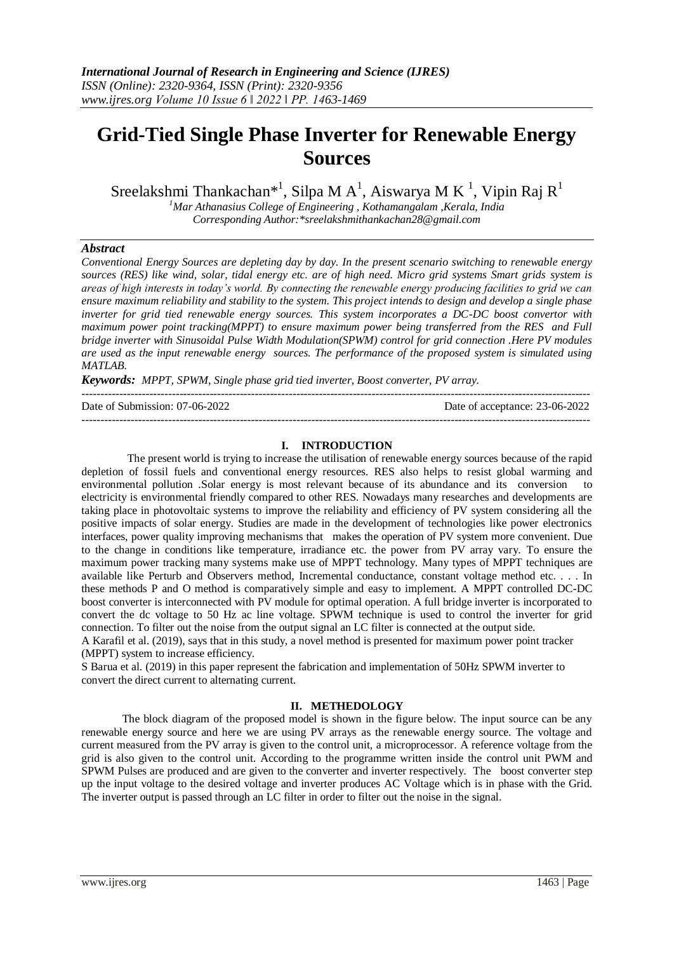# **Grid-Tied Single Phase Inverter for Renewable Energy Sources**

Sreelakshmi Thankachan $^{*1}$ , Silpa M A<sup>1</sup>, Aiswarya M K<sup>1</sup>, Vipin Raj R<sup>1</sup>

*<sup>1</sup>Mar Athanasius College of Engineering , Kothamangalam ,Kerala, India Corresponding Author:\*sreelakshmithankachan28@gmail.com*

# *Abstract*

*Conventional Energy Sources are depleting day by day. In the present scenario switching to renewable energy sources (RES) like wind, solar, tidal energy etc. are of high need. Micro grid systems Smart grids system is areas of high interests in today's world. By connecting the renewable energy producing facilities to grid we can ensure maximum reliability and stability to the system. This project intends to design and develop a single phase inverter for grid tied renewable energy sources. This system incorporates a DC-DC boost convertor with maximum power point tracking(MPPT) to ensure maximum power being transferred from the RES and Full bridge inverter with Sinusoidal Pulse Width Modulation(SPWM) control for grid connection .Here PV modules are used as the input renewable energy sources. The performance of the proposed system is simulated using MATLAB.*

*Keywords: MPPT, SPWM, Single phase grid tied inverter, Boost converter, PV array.*

---------------------------------------------------------------------------------------------------------------------------------------

Date of Submission: 07-06-2022 Date of acceptance: 23-06-2022

---------------------------------------------------------------------------------------------------------------------------------------

# **I. INTRODUCTION**

The present world is trying to increase the utilisation of renewable energy sources because of the rapid depletion of fossil fuels and conventional energy resources. RES also helps to resist global warming and environmental pollution .Solar energy is most relevant because of its abundance and its conversion to electricity is environmental friendly compared to other RES. Nowadays many researches and developments are taking place in photovoltaic systems to improve the reliability and efficiency of PV system considering all the positive impacts of solar energy. Studies are made in the development of technologies like power electronics interfaces, power quality improving mechanisms that makes the operation of PV system more convenient. Due to the change in conditions like temperature, irradiance etc. the power from PV array vary. To ensure the maximum power tracking many systems make use of MPPT technology. Many types of MPPT techniques are available like Perturb and Observers method, Incremental conductance, constant voltage method etc. . . . In these methods P and O method is comparatively simple and easy to implement. A MPPT controlled DC-DC boost converter is interconnected with PV module for optimal operation. A full bridge inverter is incorporated to convert the dc voltage to 50 Hz ac line voltage. SPWM technique is used to control the inverter for grid connection. To filter out the noise from the output signal an LC filter is connected at the output side.

A Karafil et al. (2019), says that in this study, a novel method is presented for maximum power point tracker (MPPT) system to increase efficiency.

S Barua et al. (2019) in this paper represent the fabrication and implementation of 50Hz SPWM inverter to convert the direct current to alternating current.

#### **II. METHEDOLOGY**

The block diagram of the proposed model is shown in the figure below. The input source can be any renewable energy source and here we are using PV arrays as the renewable energy source. The voltage and current measured from the PV array is given to the control unit, a microprocessor. A reference voltage from the grid is also given to the control unit. According to the programme written inside the control unit PWM and SPWM Pulses are produced and are given to the converter and inverter respectively. The boost converter step up the input voltage to the desired voltage and inverter produces AC Voltage which is in phase with the Grid. The inverter output is passed through an LC filter in order to filter out the noise in the signal.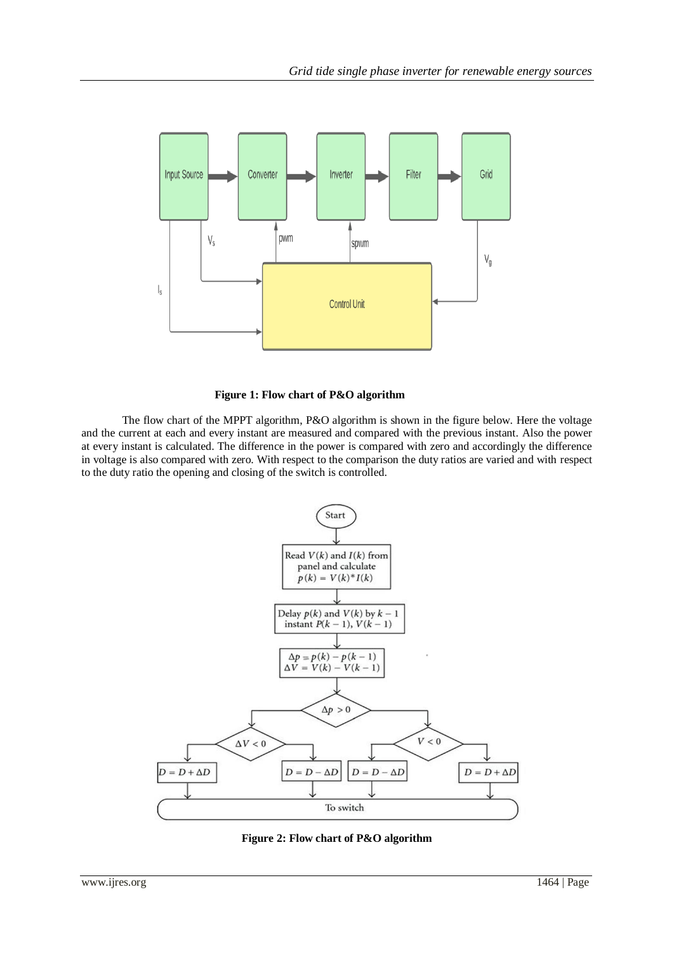

#### **Figure 1: Flow chart of P&O algorithm**

The flow chart of the MPPT algorithm, P&O algorithm is shown in the figure below. Here the voltage and the current at each and every instant are measured and compared with the previous instant. Also the power at every instant is calculated. The difference in the power is compared with zero and accordingly the difference in voltage is also compared with zero. With respect to the comparison the duty ratios are varied and with respect to the duty ratio the opening and closing of the switch is controlled.



**Figure 2: Flow chart of P&O algorithm**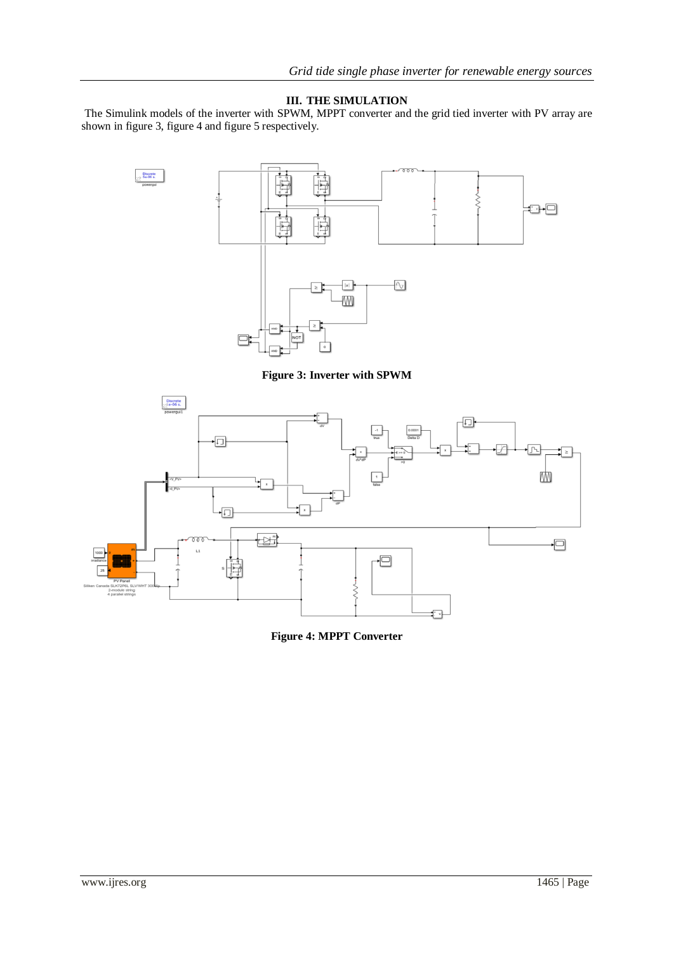# **III. THE SIMULATION**

The Simulink models of the inverter with SPWM, MPPT converter and the grid tied inverter with PV array are shown in figure 3, figure 4 and figure 5 respectively.



**Figure 4: MPPT Converter**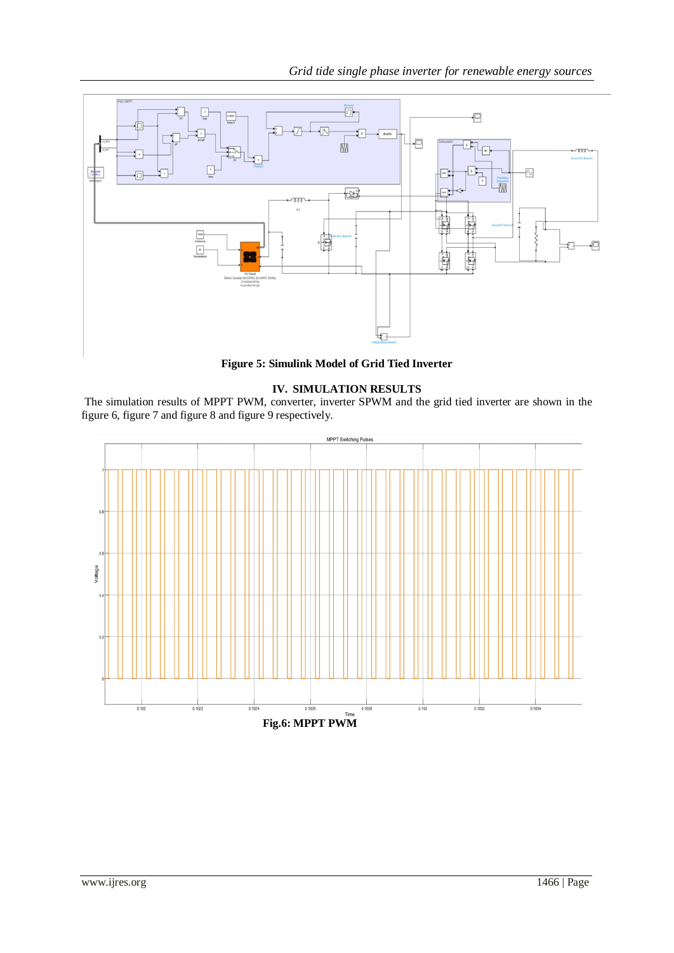

**Figure 5: Simulink Model of Grid Tied Inverter**

# **IV. SIMULATION RESULTS**

The simulation results of MPPT PWM, converter, inverter SPWM and the grid tied inverter are shown in the figure 6, figure 7 and figure 8 and figure 9 respectively.

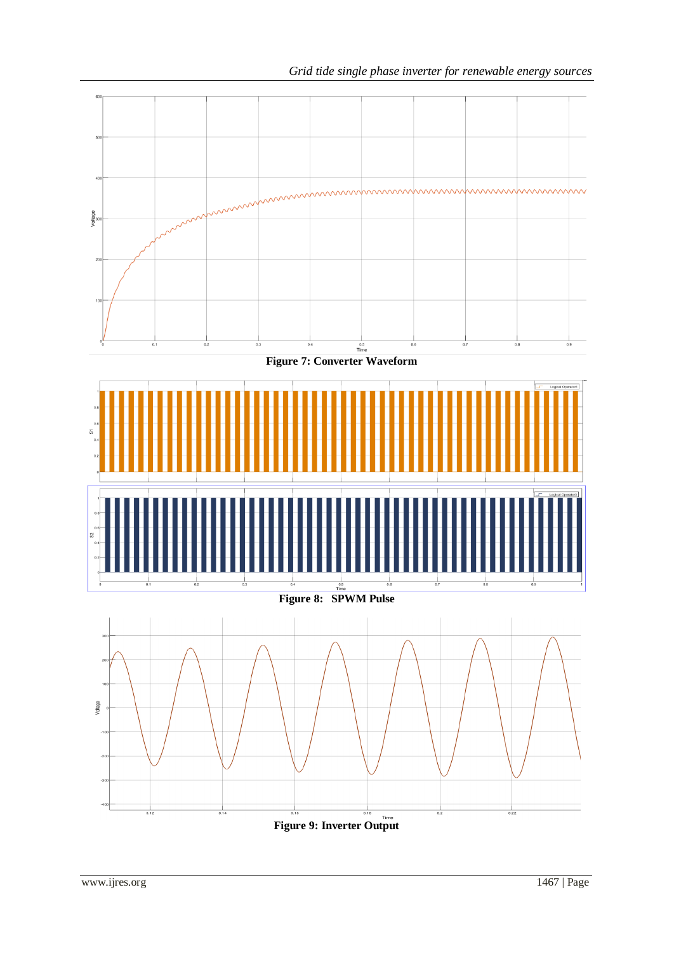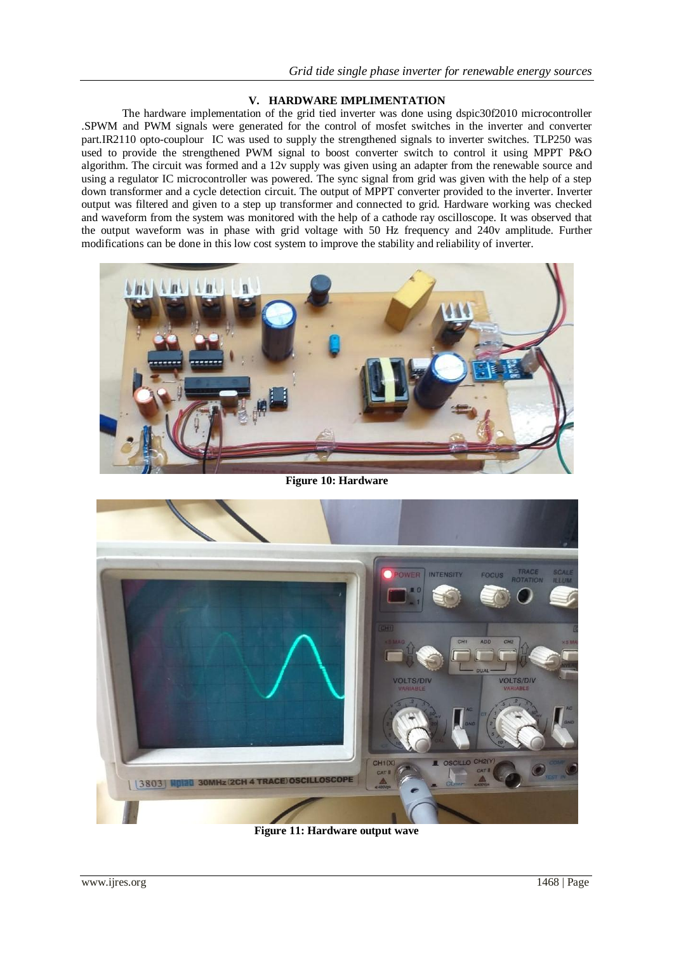# **V. HARDWARE IMPLIMENTATION**

The hardware implementation of the grid tied inverter was done using dspic30f2010 microcontroller .SPWM and PWM signals were generated for the control of mosfet switches in the inverter and converter part.IR2110 opto-couplour IC was used to supply the strengthened signals to inverter switches. TLP250 was used to provide the strengthened PWM signal to boost converter switch to control it using MPPT P&O algorithm. The circuit was formed and a 12v supply was given using an adapter from the renewable source and using a regulator IC microcontroller was powered. The sync signal from grid was given with the help of a step down transformer and a cycle detection circuit. The output of MPPT converter provided to the inverter. Inverter output was filtered and given to a step up transformer and connected to grid. Hardware working was checked and waveform from the system was monitored with the help of a cathode ray oscilloscope. It was observed that the output waveform was in phase with grid voltage with 50 Hz frequency and 240v amplitude. Further modifications can be done in this low cost system to improve the stability and reliability of inverter.



**Figure 10: Hardware**



**Figure 11: Hardware output wave**